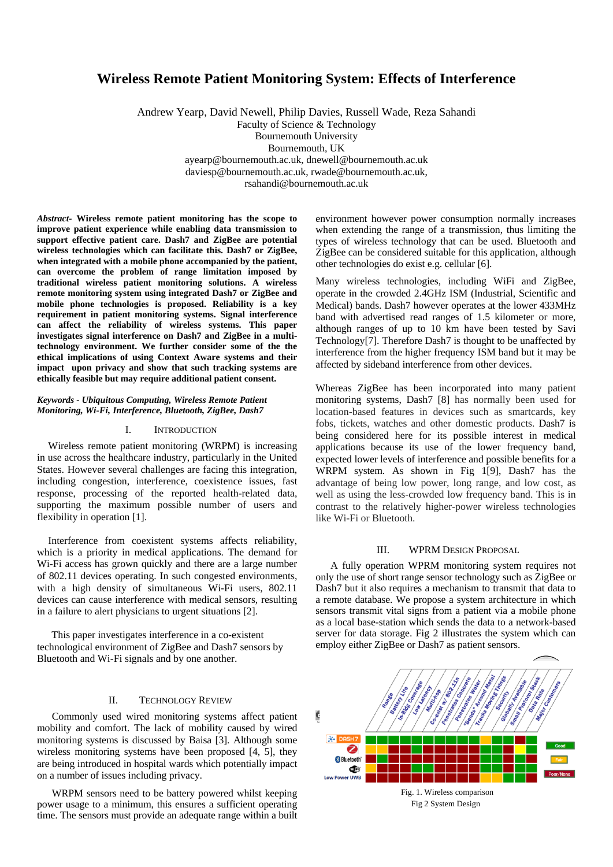# **Wireless Remote Patient Monitoring System: Effects of Interference**

Andrew Yearp, David Newell, Philip Davies, Russell Wade, Reza Sahandi Faculty of Science & Technology Bournemouth University Bournemouth, UK ayearp@bournemouth.ac.uk, dnewell@bournemouth.ac.uk daviesp@bournemouth.ac.uk, rwade@bournemouth.ac.uk, rsahandi@bournemouth.ac.uk

*Abstract-* **Wireless remote patient monitoring has the scope to improve patient experience while enabling data transmission to support effective patient care. Dash7 and ZigBee are potential wireless technologies which can facilitate this. Dash7 or ZigBee, when integrated with a mobile phone accompanied by the patient, can overcome the problem of range limitation imposed by traditional wireless patient monitoring solutions. A wireless remote monitoring system using integrated Dash7 or ZigBee and mobile phone technologies is proposed. Reliability is a key requirement in patient monitoring systems. Signal interference can affect the reliability of wireless systems. This paper investigates signal interference on Dash7 and ZigBee in a multitechnology environment. We further consider some of the the ethical implications of using Context Aware systems and their impact upon privacy and show that such tracking systems are ethically feasible but may require additional patient consent.**

## *Keywords - Ubiquitous Computing, Wireless Remote Patient Monitoring, Wi-Fi, Interference, Bluetooth, ZigBee, Dash7*

#### I. INTRODUCTION

Wireless remote patient monitoring (WRPM) is increasing in use across the healthcare industry, particularly in the United States. However several challenges are facing this integration, including congestion, interference, coexistence issues, fast response, processing of the reported health-related data, supporting the maximum possible number of users and flexibility in operation [1].

Interference from coexistent systems affects reliability, which is a priority in medical applications. The demand for Wi-Fi access has grown quickly and there are a large number of 802.11 devices operating. In such congested environments, with a high density of simultaneous Wi-Fi users, 802.11 devices can cause interference with medical sensors, resulting in a failure to alert physicians to urgent situations [2].

This paper investigates interference in a co-existent technological environment of ZigBee and Dash7 sensors by Bluetooth and Wi-Fi signals and by one another.

# II. TECHNOLOGY REVIEW

Commonly used wired monitoring systems affect patient mobility and comfort. The lack of mobility caused by wired monitoring systems is discussed by Baisa [3]. Although some wireless monitoring systems have been proposed [4, 5], they are being introduced in hospital wards which potentially impact on a number of issues including privacy.

WRPM sensors need to be battery powered whilst keeping power usage to a minimum, this ensures a sufficient operating time. The sensors must provide an adequate range within a built

environment however power consumption normally increases when extending the range of a transmission, thus limiting the types of wireless technology that can be used. Bluetooth and ZigBee can be considered suitable for this application, although other technologies do exist e.g. cellular [6].

Many wireless technologies, including WiFi and ZigBee, operate in the crowded 2.4GHz ISM (Industrial, Scientific and Medical) bands. Dash7 however operates at the lower 433MHz band with advertised read ranges of 1.5 kilometer or more, although ranges of up to 10 km have been tested by Savi Technology[7]. Therefore Dash7 is thought to be unaffected by interference from the higher frequency ISM band but it may be affected by sideband interference from other devices.

Whereas ZigBee has been incorporated into many patient monitoring systems, Dash7 [8] has normally been used for location-based features in devices such as smartcards, key fobs, tickets, watches and other domestic products. Dash7 is being considered here for its possible interest in medical applications because its use of the lower frequency band, expected lower levels of interference and possible benefits for a WRPM system. As shown in Fig 1[9], Dash7 has the advantage of being low power, long range, and low cost, as well as using the less-crowded low frequency band. This is in contrast to the relatively higher-power wireless technologies like Wi-Fi or Bluetooth.

## III. WPRM DESIGN PROPOSAL

A fully operation WPRM monitoring system requires not only the use of short range sensor technology such as ZigBee or Dash7 but it also requires a mechanism to transmit that data to a remote database. We propose a system architecture in which sensors transmit vital signs from a patient via a mobile phone as a local base-station which sends the data to a network-based server for data storage. Fig 2 illustrates the system which can employ either ZigBee or Dash7 as patient sensors.

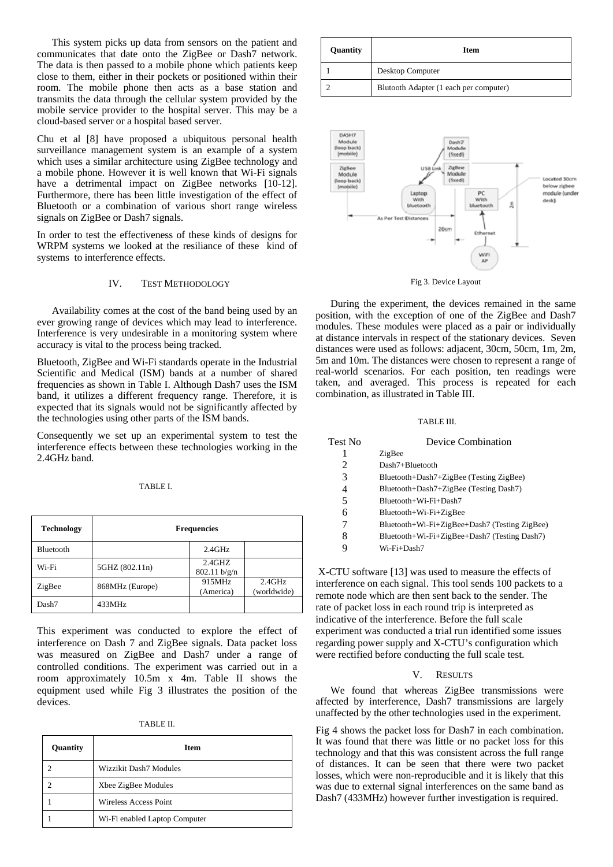This system picks up data from sensors on the patient and communicates that date onto the ZigBee or Dash7 network. The data is then passed to a mobile phone which patients keep close to them, either in their pockets or positioned within their room. The mobile phone then acts as a base station and transmits the data through the cellular system provided by the mobile service provider to the hospital server. This may be a cloud-based server or a hospital based server.

Chu et al [8] have proposed a ubiquitous personal health surveillance management system is an example of a system which uses a similar architecture using ZigBee technology and a mobile phone. However it is well known that Wi-Fi signals have a detrimental impact on ZigBee networks [10-12]. Furthermore, there has been little investigation of the effect of Bluetooth or a combination of various short range wireless signals on ZigBee or Dash7 signals.

In order to test the effectiveness of these kinds of designs for WRPM systems we looked at the resiliance of these kind of systems to interference effects.

## IV. TEST METHODOLOGY

 Availability comes at the cost of the band being used by an ever growing range of devices which may lead to interference. Interference is very undesirable in a monitoring system where accuracy is vital to the process being tracked.

Bluetooth, ZigBee and Wi-Fi standards operate in the Industrial Scientific and Medical (ISM) bands at a number of shared frequencies as shown in Table I. Although Dash7 uses the ISM band, it utilizes a different frequency range. Therefore, it is expected that its signals would not be significantly affected by the technologies using other parts of the ISM bands.

Consequently we set up an experimental system to test the interference effects between these technologies working in the 2.4GHz band.

## TABLE I.

| <b>Technology</b> | <b>Frequencies</b> |                           |                       |
|-------------------|--------------------|---------------------------|-----------------------|
| Bluetooth         |                    | 2.4GHz                    |                       |
| Wi-Fi             | 5GHZ (802.11n)     | $2.4$ GHZ<br>802.11 b/g/n |                       |
| ZigBee            | 868MHz (Europe)    | 915MHz<br>(America)       | 2.4GHz<br>(worldwide) |
| Dash7             | 433MHz             |                           |                       |

This experiment was conducted to explore the effect of interference on Dash 7 and ZigBee signals. Data packet loss was measured on ZigBee and Dash7 under a range of controlled conditions. The experiment was carried out in a room approximately 10.5m x 4m. Table II shows the equipment used while Fig 3 illustrates the position of the devices.

| Quantity | <b>Item</b>                   |
|----------|-------------------------------|
|          | Wizzikit Dash7 Modules        |
|          | Xbee ZigBee Modules           |
|          | Wireless Access Point         |
|          | Wi-Fi enabled Laptop Computer |

| Quantity | <b>Item</b>                            |
|----------|----------------------------------------|
|          | Desktop Computer                       |
|          | Blutooth Adapter (1 each per computer) |



Fig 3. Device Layout

 During the experiment, the devices remained in the same position, with the exception of one of the ZigBee and Dash7 modules. These modules were placed as a pair or individually at distance intervals in respect of the stationary devices. Seven distances were used as follows: adjacent, 30cm, 50cm, 1m, 2m, 5m and 10m. The distances were chosen to represent a range of real-world scenarios. For each position, ten readings were taken, and averaged. This process is repeated for each combination, as illustrated in Table III.

#### TABLE III.

| Test No | Device Combination                            |  |
|---------|-----------------------------------------------|--|
| 1       | ZigBee                                        |  |
| 2       | Dash7+Bluetooth                               |  |
| 3       | Bluetooth+Dash7+ZigBee (Testing ZigBee)       |  |
| 4       | Bluetooth+Dash7+ZigBee (Testing Dash7)        |  |
| 5       | Bluetooth+Wi-Fi+Dash7                         |  |
| 6       | $Bluetooth+Wi-Fi+ZigBee$                      |  |
| 7       | Bluetooth+Wi-Fi+ZigBee+Dash7 (Testing ZigBee) |  |
| 8       | Bluetooth+Wi-Fi+ZigBee+Dash7 (Testing Dash7)  |  |
| 9       | Wi-Fi+Dash7                                   |  |
|         |                                               |  |

 X-CTU software [13] was used to measure the effects of interference on each signal. This tool sends 100 packets to a remote node which are then sent back to the sender. The rate of packet loss in each round trip is interpreted as indicative of the interference. Before the full scale experiment was conducted a trial run identified some issues regarding power supply and X-CTU's configuration which were rectified before conducting the full scale test.

## V. RESULTS

 We found that whereas ZigBee transmissions were affected by interference, Dash7 transmissions are largely unaffected by the other technologies used in the experiment.

Fig 4 shows the packet loss for Dash7 in each combination. It was found that there was little or no packet loss for this technology and that this was consistent across the full range of distances. It can be seen that there were two packet losses, which were non-reproducible and it is likely that this was due to external signal interferences on the same band as Dash7 (433MHz) however further investigation is required.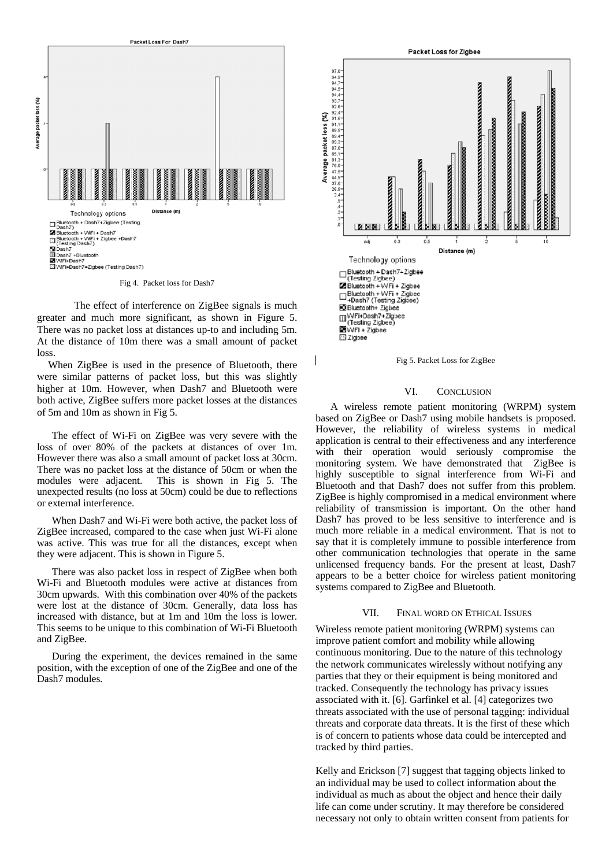

Fig 4. Packet loss for Dash7

 The effect of interference on ZigBee signals is much greater and much more significant, as shown in Figure 5. There was no packet loss at distances up-to and including 5m. At the distance of 10m there was a small amount of packet loss.

When ZigBee is used in the presence of Bluetooth, there were similar patterns of packet loss, but this was slightly higher at 10m. However, when Dash7 and Bluetooth were both active, ZigBee suffers more packet losses at the distances of 5m and 10m as shown in Fig 5.

 The effect of Wi-Fi on ZigBee was very severe with the loss of over 80% of the packets at distances of over 1m. However there was also a small amount of packet loss at 30cm. There was no packet loss at the distance of 50cm or when the modules were adjacent. This is shown in Fig 5. The unexpected results (no loss at 50cm) could be due to reflections or external interference.

 When Dash7 and Wi-Fi were both active, the packet loss of ZigBee increased, compared to the case when just Wi-Fi alone was active. This was true for all the distances, except when they were adjacent. This is shown in Figure 5.

 There was also packet loss in respect of ZigBee when both Wi-Fi and Bluetooth modules were active at distances from 30cm upwards. With this combination over 40% of the packets were lost at the distance of 30cm. Generally, data loss has increased with distance, but at 1m and 10m the loss is lower. This seems to be unique to this combination of Wi-Fi Bluetooth and ZigBee.

 During the experiment, the devices remained in the same position, with the exception of one of the ZigBee and one of the Dash7 modules.





#### VI. CONCLUSION

A wireless remote patient monitoring (WRPM) system based on ZigBee or Dash7 using mobile handsets is proposed. However, the reliability of wireless systems in medical application is central to their effectiveness and any interference with their operation would seriously compromise the monitoring system. We have demonstrated that ZigBee is highly susceptible to signal interference from Wi-Fi and Bluetooth and that Dash7 does not suffer from this problem. ZigBee is highly compromised in a medical environment where reliability of transmission is important. On the other hand Dash7 has proved to be less sensitive to interference and is much more reliable in a medical environment. That is not to say that it is completely immune to possible interference from other communication technologies that operate in the same unlicensed frequency bands. For the present at least, Dash7 appears to be a better choice for wireless patient monitoring systems compared to ZigBee and Bluetooth.

## VII. FINAL WORD ON ETHICAL ISSUES

Wireless remote patient monitoring (WRPM) systems can improve patient comfort and mobility while allowing continuous monitoring. Due to the nature of this technology the network communicates wirelessly without notifying any parties that they or their equipment is being monitored and tracked. Consequently the technology has privacy issues associated with it. [6]. Garfinkel et al. [4] categorizes two threats associated with the use of personal tagging: individual threats and corporate data threats. It is the first of these which is of concern to patients whose data could be intercepted and tracked by third parties.

Kelly and Erickson [7] suggest that tagging objects linked to an individual may be used to collect information about the individual as much as about the object and hence their daily life can come under scrutiny. It may therefore be considered necessary not only to obtain written consent from patients for